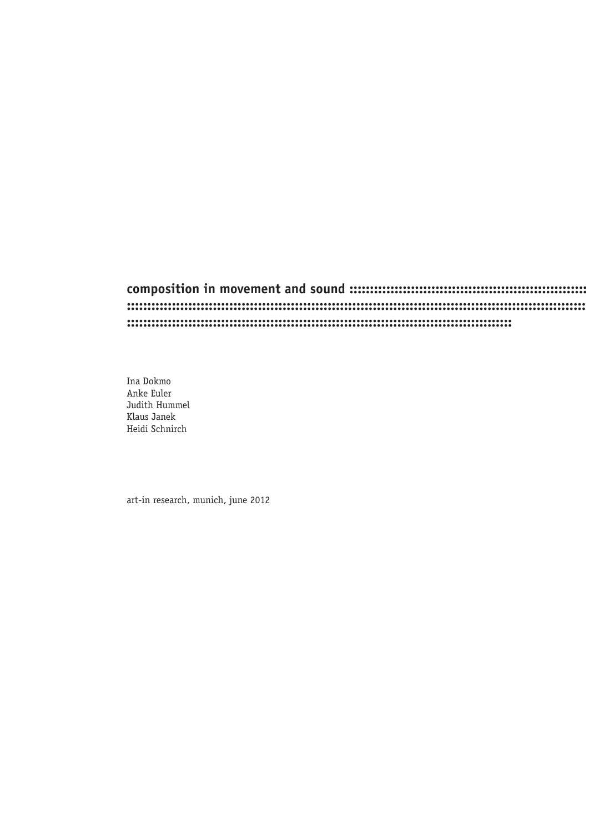## 

Ina Dokmo Anke Euler Judith Hummel Klaus Janek Heidi Schnirch

art-in research, munich, june 2012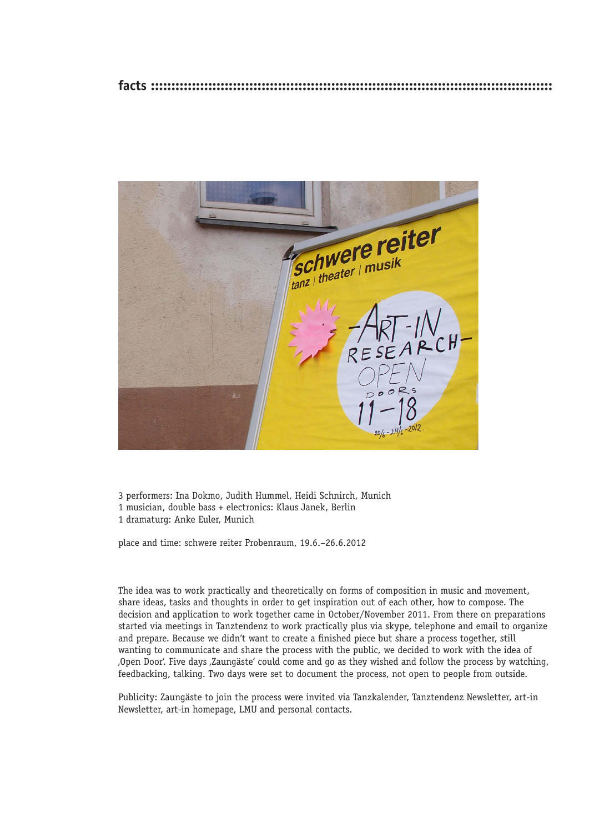

3 performers: Ina Dokmo, Judith Hummel, Heidi Schnirch, Munich 1 musician, double bass + electronics: Klaus Janek, Berlin 1 dramaturg: Anke Euler, Munich

place and time: schwere reiter Probenraum, 19.6.–26.6.2012

The idea was to work practically and theoretically on forms of composition in music and movement, share ideas, tasks and thoughts in order to get inspiration out of each other, how to compose. The decision and application to work together came in October/November 2011. From there on preparations started via meetings in Tanztendenz to work practically plus via skype, telephone and email to organize and prepare. Because we didn't want to create a finished piece but share a process together, still wanting to communicate and share the process with the public, we decided to work with the idea of 'Open Door'. Five days 'Zaungäste' could come and go as they wished and follow the process by watching, feedbacking, talking. Two days were set to document the process, not open to people from outside.

Publicity: Zaungäste to join the process were invited via Tanzkalender, Tanztendenz Newsletter, art-in Newsletter, art-in homepage, LMU and personal contacts.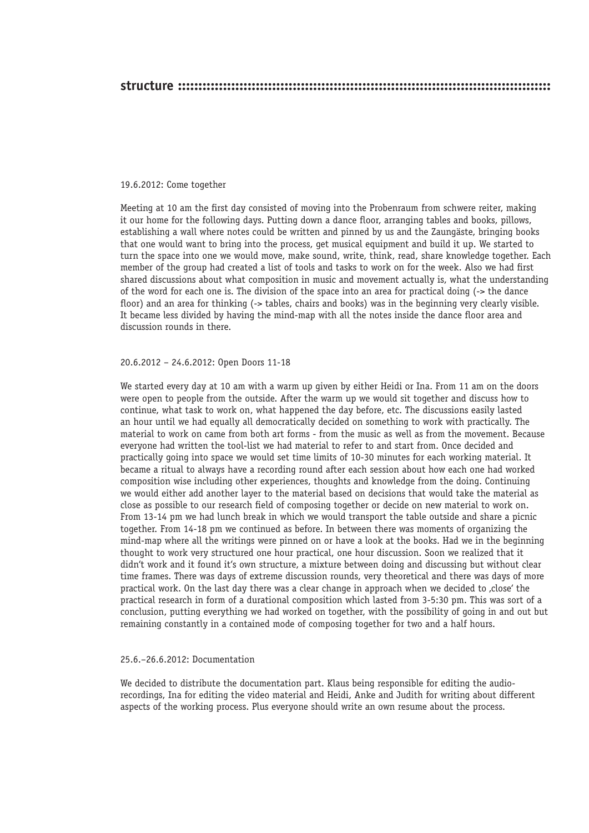#### 19.6.2012: Come together

Meeting at 10 am the first day consisted of moving into the Probenraum from schwere reiter, making it our home for the following days. Putting down a dance floor, arranging tables and books, pillows, establishing a wall where notes could be written and pinned by us and the Zaungäste, bringing books that one would want to bring into the process, get musical equipment and build it up. We started to turn the space into one we would move, make sound, write, think, read, share knowledge together. Each member of the group had created a list of tools and tasks to work on for the week. Also we had first shared discussions about what composition in music and movement actually is, what the understanding of the word for each one is. The division of the space into an area for practical doing (-> the dance floor) and an area for thinking (-> tables, chairs and books) was in the beginning very clearly visible. It became less divided by having the mind-map with all the notes inside the dance floor area and discussion rounds in there.

#### 20.6.2012 – 24.6.2012: Open Doors 11-18

We started every day at 10 am with a warm up given by either Heidi or Ina. From 11 am on the doors were open to people from the outside. After the warm up we would sit together and discuss how to continue, what task to work on, what happened the day before, etc. The discussions easily lasted an hour until we had equally all democratically decided on something to work with practically. The material to work on came from both art forms - from the music as well as from the movement. Because everyone had written the tool-list we had material to refer to and start from. Once decided and practically going into space we would set time limits of 10-30 minutes for each working material. It became a ritual to always have a recording round after each session about how each one had worked composition wise including other experiences, thoughts and knowledge from the doing. Continuing we would either add another layer to the material based on decisions that would take the material as close as possible to our research field of composing together or decide on new material to work on. From 13-14 pm we had lunch break in which we would transport the table outside and share a picnic together. From 14-18 pm we continued as before. In between there was moments of organizing the mind-map where all the writings were pinned on or have a look at the books. Had we in the beginning thought to work very structured one hour practical, one hour discussion. Soon we realized that it didn't work and it found it's own structure, a mixture between doing and discussing but without clear time frames. There was days of extreme discussion rounds, very theoretical and there was days of more practical work. On the last day there was a clear change in approach when we decided to .close' the practical research in form of a durational composition which lasted from 3-5:30 pm. This was sort of a conclusion, putting everything we had worked on together, with the possibility of going in and out but remaining constantly in a contained mode of composing together for two and a half hours.

#### 25.6.–26.6.2012: Documentation

We decided to distribute the documentation part. Klaus being responsible for editing the audiorecordings, Ina for editing the video material and Heidi, Anke and Judith for writing about different aspects of the working process. Plus everyone should write an own resume about the process.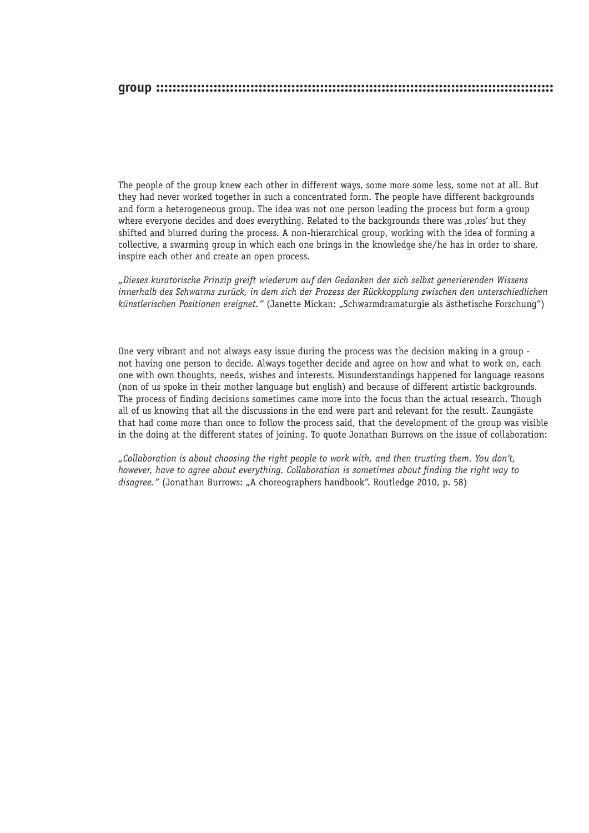The people of the group knew each other in different ways, some more some less, some not at all. But they had never worked together in such a concentrated form. The people have different backgrounds and form a heterogeneous group. The idea was not one person leading the process but form a group where everyone decides and does everything. Related to the backgrounds there was ,roles' but they shifted and blurred during the process. A non-hierarchical group, working with the idea of forming a collective, a swarming group in which each one brings in the knowledge she/he has in order to share, inspire each other and create an open process.

*"Dieses kuratorische Prinzip greift wiederum auf den Gedanken des sich selbst generierenden Wissens innerhalb des Schwarms zurück, in dem sich der Prozess der Rückkopplung zwischen den unterschiedlichen künstlerischen Positionen ereignet."* (Janette Mickan: "Schwarmdramaturgie als ästhetische Forschung")

One very vibrant and not always easy issue during the process was the decision making in a group not having one person to decide. Always together decide and agree on how and what to work on, each one with own thoughts, needs, wishes and interests. Misunderstandings happened for language reasons (non of us spoke in their mother language but english) and because of different artistic backgrounds. The process of finding decisions sometimes came more into the focus than the actual research. Though all of us knowing that all the discussions in the end were part and relevant for the result. Zaungäste that had come more than once to follow the process said, that the development of the group was visible in the doing at the different states of joining. To quote Jonathan Burrows on the issue of collaboration:

*"Collaboration is about choosing the right people to work with, and then trusting them. You don't, however, have to agree about everything. Collaboration is sometimes about finding the right way to disagree."* (Jonathan Burrows: "A choreographers handbook". Routledge 2010, p. 58)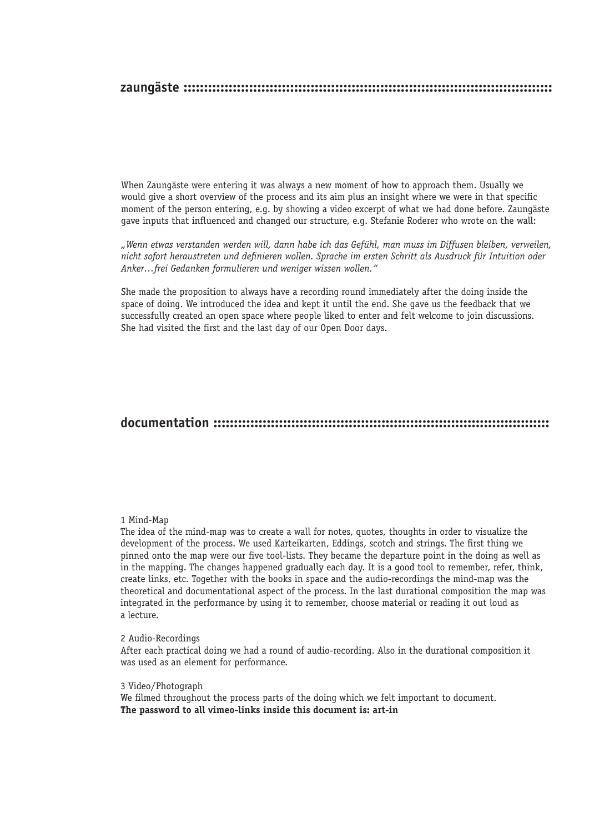#### 

When Zaungäste were entering it was always a new moment of how to approach them. Usually we would give a short overview of the process and its aim plus an insight where we were in that specific moment of the person entering, e.g. by showing a video excerpt of what we had done before. Zaungäste gave inputs that influenced and changed our structure, e.g. Stefanie Roderer who wrote on the wall:

"Wenn etwas verstanden werden will, dann habe ich das Gefühl, man muss im Diffusen bleiben, verweilen, nicht sofort heraustreten und definieren wollen. Sprache im ersten Schritt als Ausdruck für Intuition oder Anker...frei Gedanken formulieren und weniger wissen wollen."

She made the proposition to always have a recording round immediately after the doing inside the space of doing. We introduced the idea and kept it until the end. She gave us the feedback that we successfully created an open space where people liked to enter and felt welcome to join discussions. She had visited the first and the last day of our Open Door days.

## 

#### 1 Mind-Map

The idea of the mind-map was to create a wall for notes, quotes, thoughts in order to visualize the development of the process. We used Karteikarten, Eddings, scotch and strings. The first thing we pinned onto the map were our five tool-lists. They became the departure point in the doing as well as in the mapping. The changes happened gradually each day. It is a good tool to remember, refer, think, create links, etc. Together with the books in space and the audio-recordings the mind-map was the theoretical and documentational aspect of the process. In the last durational composition the map was integrated in the performance by using it to remember, choose material or reading it out loud as a lecture

#### 2 Audio-Recordings

After each practical doing we had a round of audio-recording. Also in the durational composition it was used as an element for performance.

#### 3 Video/Photograph

We filmed throughout the process parts of the doing which we felt important to document. The password to all vimeo-links inside this document is: art-in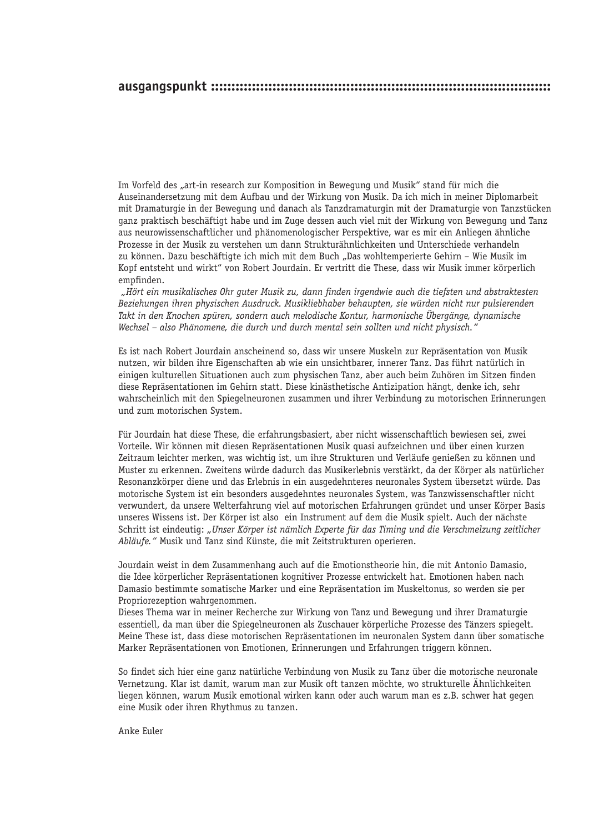Im Vorfeld des "art-in research zur Komposition in Bewegung und Musik" stand für mich die Auseinandersetzung mit dem Aufbau und der Wirkung von Musik. Da ich mich in meiner Diplomarbeit mit Dramaturgie in der Bewegung und danach als Tanzdramaturgin mit der Dramaturgie von Tanzstücken ganz praktisch beschäftigt habe und im Zuge dessen auch viel mit der Wirkung von Bewegung und Tanz aus neurowissenschaftlicher und phänomenologischer Perspektive, war es mir ein Anliegen ähnliche Prozesse in der Musik zu verstehen um dann Strukturähnlichkeiten und Unterschiede verhandeln zu können. Dazu beschäftigte ich mich mit dem Buch "Das wohltemperierte Gehirn – Wie Musik im Kopf entsteht und wirkt" von Robert Jourdain. Er vertritt die These, dass wir Musik immer körperlich empfinden.

 *"Hört ein musikalisches Ohr guter Musik zu, dann finden irgendwie auch die tiefsten und abstraktesten Beziehungen ihren physischen Ausdruck. Musikliebhaber behaupten, sie würden nicht nur pulsierenden Takt in den Knochen spüren, sondern auch melodische Kontur, harmonische Übergänge, dynamische Wechsel – also Phänomene, die durch und durch mental sein sollten und nicht physisch."* 

Es ist nach Robert Jourdain anscheinend so, dass wir unsere Muskeln zur Repräsentation von Musik nutzen, wir bilden ihre Eigenschaften ab wie ein unsichtbarer, innerer Tanz. Das führt natürlich in einigen kulturellen Situationen auch zum physischen Tanz, aber auch beim Zuhören im Sitzen finden diese Repräsentationen im Gehirn statt. Diese kinästhetische Antizipation hängt, denke ich, sehr wahrscheinlich mit den Spiegelneuronen zusammen und ihrer Verbindung zu motorischen Erinnerungen und zum motorischen System.

Für Jourdain hat diese These, die erfahrungsbasiert, aber nicht wissenschaftlich bewiesen sei, zwei Vorteile. Wir können mit diesen Repräsentationen Musik quasi aufzeichnen und über einen kurzen Zeitraum leichter merken, was wichtig ist, um ihre Strukturen und Verläufe genießen zu können und Muster zu erkennen. Zweitens würde dadurch das Musikerlebnis verstärkt, da der Körper als natürlicher Resonanzkörper diene und das Erlebnis in ein ausgedehnteres neuronales System übersetzt würde. Das motorische System ist ein besonders ausgedehntes neuronales System, was Tanzwissenschaftler nicht verwundert, da unsere Welterfahrung viel auf motorischen Erfahrungen gründet und unser Körper Basis unseres Wissens ist. Der Körper ist also ein Instrument auf dem die Musik spielt. Auch der nächste Schritt ist eindeutig: *"Unser Körper ist nämlich Experte für das Timing und die Verschmelzung zeitlicher Abläufe."* Musik und Tanz sind Künste, die mit Zeitstrukturen operieren.

Jourdain weist in dem Zusammenhang auch auf die Emotionstheorie hin, die mit Antonio Damasio, die Idee körperlicher Repräsentationen kognitiver Prozesse entwickelt hat. Emotionen haben nach Damasio bestimmte somatische Marker und eine Repräsentation im Muskeltonus, so werden sie per Propriorezeption wahrgenommen.

Dieses Thema war in meiner Recherche zur Wirkung von Tanz und Bewegung und ihrer Dramaturgie essentiell, da man über die Spiegelneuronen als Zuschauer körperliche Prozesse des Tänzers spiegelt. Meine These ist, dass diese motorischen Repräsentationen im neuronalen System dann über somatische Marker Repräsentationen von Emotionen, Erinnerungen und Erfahrungen triggern können.

So findet sich hier eine ganz natürliche Verbindung von Musik zu Tanz über die motorische neuronale Vernetzung. Klar ist damit, warum man zur Musik oft tanzen möchte, wo strukturelle Ähnlichkeiten liegen können, warum Musik emotional wirken kann oder auch warum man es z.B. schwer hat gegen eine Musik oder ihren Rhythmus zu tanzen.

Anke Euler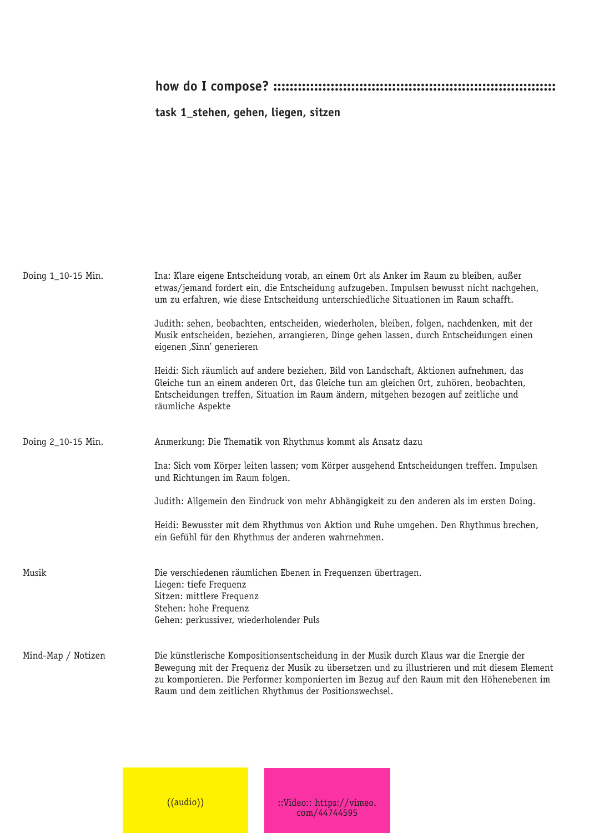**task 1\_stehen, gehen, liegen, sitzen**

| Doing 1_10-15 Min. | Ina: Klare eigene Entscheidung vorab, an einem Ort als Anker im Raum zu bleiben, außer<br>etwas/jemand fordert ein, die Entscheidung aufzugeben. Impulsen bewusst nicht nachgehen,<br>um zu erfahren, wie diese Entscheidung unterschiedliche Situationen im Raum schafft.                                                                   |
|--------------------|----------------------------------------------------------------------------------------------------------------------------------------------------------------------------------------------------------------------------------------------------------------------------------------------------------------------------------------------|
|                    | Judith: sehen, beobachten, entscheiden, wiederholen, bleiben, folgen, nachdenken, mit der<br>Musik entscheiden, beziehen, arrangieren, Dinge gehen lassen, durch Entscheidungen einen<br>eigenen ,Sinn' generieren                                                                                                                           |
|                    | Heidi: Sich räumlich auf andere beziehen, Bild von Landschaft, Aktionen aufnehmen, das<br>Gleiche tun an einem anderen Ort, das Gleiche tun am gleichen Ort, zuhören, beobachten,<br>Entscheidungen treffen, Situation im Raum ändern, mitgehen bezogen auf zeitliche und<br>räumliche Aspekte                                               |
| Doing 2_10-15 Min. | Anmerkung: Die Thematik von Rhythmus kommt als Ansatz dazu                                                                                                                                                                                                                                                                                   |
|                    | Ina: Sich vom Körper leiten lassen; vom Körper ausgehend Entscheidungen treffen. Impulsen<br>und Richtungen im Raum folgen.                                                                                                                                                                                                                  |
|                    | Judith: Allgemein den Eindruck von mehr Abhängigkeit zu den anderen als im ersten Doing.                                                                                                                                                                                                                                                     |
|                    | Heidi: Bewusster mit dem Rhythmus von Aktion und Ruhe umgehen. Den Rhythmus brechen,<br>ein Gefühl für den Rhythmus der anderen wahrnehmen.                                                                                                                                                                                                  |
| Musik              | Die verschiedenen räumlichen Ebenen in Frequenzen übertragen.<br>Liegen: tiefe Frequenz<br>Sitzen: mittlere Frequenz<br>Stehen: hohe Frequenz<br>Gehen: perkussiver, wiederholender Puls                                                                                                                                                     |
| Mind-Map / Notizen | Die künstlerische Kompositionsentscheidung in der Musik durch Klaus war die Energie der<br>Bewequng mit der Frequenz der Musik zu übersetzen und zu illustrieren und mit diesem Element<br>zu komponieren. Die Performer komponierten im Bezug auf den Raum mit den Höhenebenen im<br>Raum und dem zeitlichen Rhythmus der Positionswechsel. |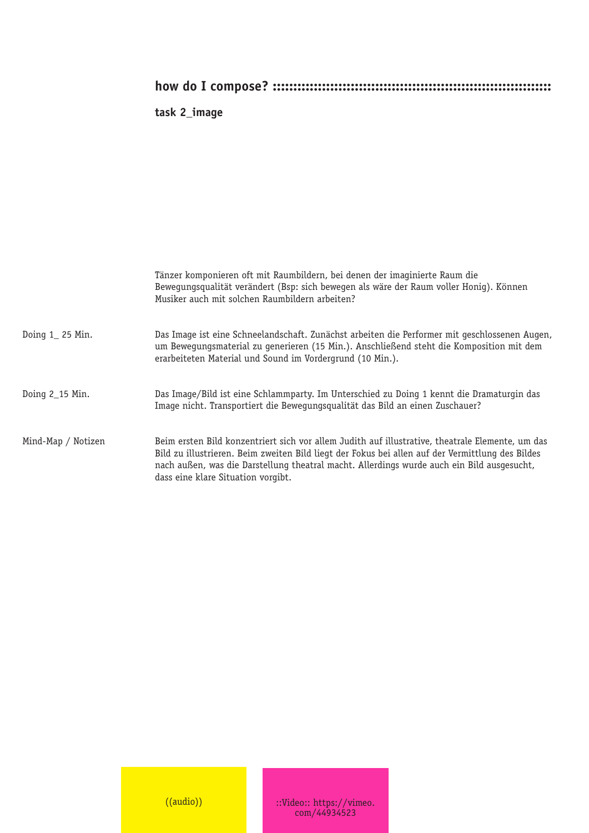## **task 2\_image**

|                    | Tänzer komponieren oft mit Raumbildern, bei denen der imaginierte Raum die<br>Bewegungsgualität verändert (Bsp: sich bewegen als wäre der Raum voller Honig). Können<br>Musiker auch mit solchen Raumbildern arbeiten?                                                                                                                   |
|--------------------|------------------------------------------------------------------------------------------------------------------------------------------------------------------------------------------------------------------------------------------------------------------------------------------------------------------------------------------|
| Doing $1$ 25 Min.  | Das Image ist eine Schneelandschaft. Zunächst arbeiten die Performer mit geschlossenen Augen,<br>um Bewegungsmaterial zu generieren (15 Min.). Anschließend steht die Komposition mit dem<br>erarbeiteten Material und Sound im Vordergrund (10 Min.).                                                                                   |
| Doing 2_15 Min.    | Das Image/Bild ist eine Schlammparty. Im Unterschied zu Doing 1 kennt die Dramaturgin das<br>Image nicht. Transportiert die Bewegungsqualität das Bild an einen Zuschauer?                                                                                                                                                               |
| Mind-Map / Notizen | Beim ersten Bild konzentriert sich vor allem Judith auf illustrative, theatrale Elemente, um das<br>Bild zu illustrieren. Beim zweiten Bild liegt der Fokus bei allen auf der Vermittlung des Bildes<br>nach außen, was die Darstellung theatral macht. Allerdings wurde auch ein Bild ausgesucht,<br>dass eine klare Situation vorgibt. |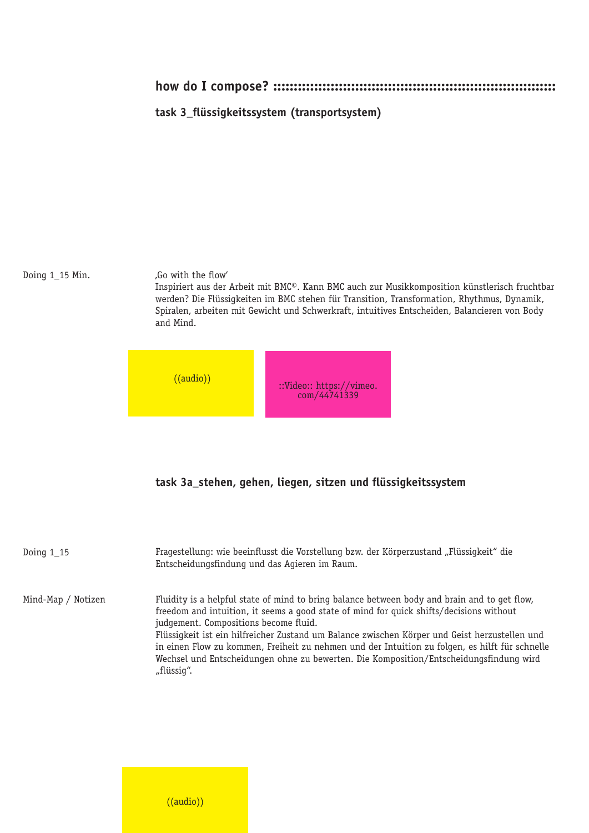#### **task 3\_flüssigkeitssystem (transportsystem)**

Doing 1\_15 Min.

'Go with the flow'

Inspiriert aus der Arbeit mit BMC©. Kann BMC auch zur Musikkomposition künstlerisch fruchtbar werden? Die Flüssigkeiten im BMC stehen für Transition, Transformation, Rhythmus, Dynamik, Spiralen, arbeiten mit Gewicht und Schwerkraft, intuitives Entscheiden, Balancieren von Body and Mind.



#### **task 3a\_stehen, gehen, liegen, sitzen und flüssigkeitssystem**

| Doing $1_15$       | Fragestellung: wie beeinflusst die Vorstellung bzw. der Körperzustand "Flüssigkeit" die<br>Entscheidungsfindung und das Agieren im Raum.                                                                                                                                                                                                                                                                                                                                                                                                    |
|--------------------|---------------------------------------------------------------------------------------------------------------------------------------------------------------------------------------------------------------------------------------------------------------------------------------------------------------------------------------------------------------------------------------------------------------------------------------------------------------------------------------------------------------------------------------------|
| Mind-Map / Notizen | Fluidity is a helpful state of mind to bring balance between body and brain and to get flow,<br>freedom and intuition, it seems a good state of mind for quick shifts/decisions without<br>judgement. Compositions become fluid.<br>Flüssigkeit ist ein hilfreicher Zustand um Balance zwischen Körper und Geist herzustellen und<br>in einen Flow zu kommen, Freiheit zu nehmen und der Intuition zu folgen, es hilft für schnelle<br>Wechsel und Entscheidungen ohne zu bewerten. Die Komposition/Entscheidungsfindung wird<br>"flüssiq". |

 $((audio))$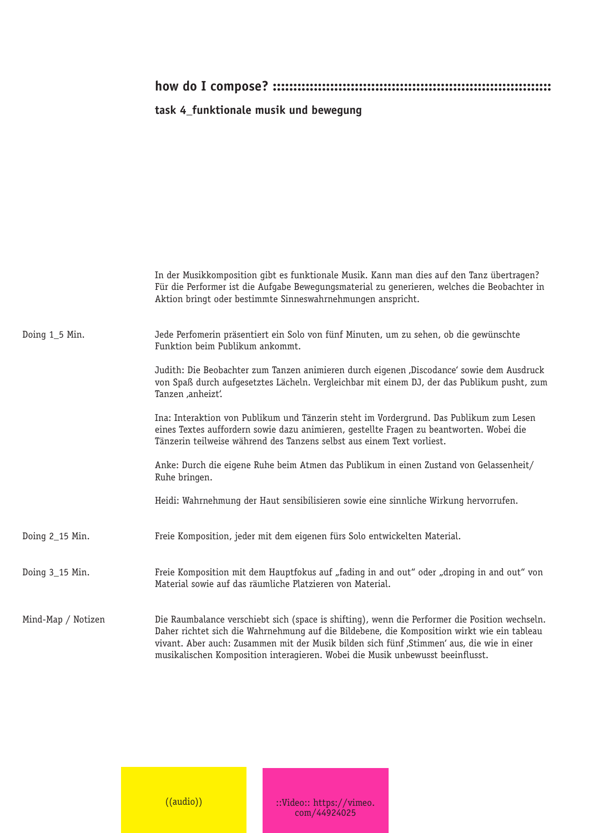## **task 4\_funktionale musik und bewegung**

|                    | In der Musikkomposition gibt es funktionale Musik. Kann man dies auf den Tanz übertragen?<br>Für die Performer ist die Aufgabe Bewegungsmaterial zu generieren, welches die Beobachter in<br>Aktion bringt oder bestimmte Sinneswahrnehmungen anspricht.                                                                                                                      |
|--------------------|-------------------------------------------------------------------------------------------------------------------------------------------------------------------------------------------------------------------------------------------------------------------------------------------------------------------------------------------------------------------------------|
| Doing 1_5 Min.     | Jede Perfomerin präsentiert ein Solo von fünf Minuten, um zu sehen, ob die gewünschte<br>Funktion beim Publikum ankommt.                                                                                                                                                                                                                                                      |
|                    | Judith: Die Beobachter zum Tanzen animieren durch eigenen "Discodance" sowie dem Ausdruck<br>von Spaß durch aufgesetztes Lächeln. Vergleichbar mit einem DJ, der das Publikum pusht, zum<br>Tanzen ,anheizt'.                                                                                                                                                                 |
|                    | Ina: Interaktion von Publikum und Tänzerin steht im Vordergrund. Das Publikum zum Lesen<br>eines Textes auffordern sowie dazu animieren, gestellte Fragen zu beantworten. Wobei die<br>Tänzerin teilweise während des Tanzens selbst aus einem Text vorliest.                                                                                                                 |
|                    | Anke: Durch die eigene Ruhe beim Atmen das Publikum in einen Zustand von Gelassenheit/<br>Ruhe bringen.                                                                                                                                                                                                                                                                       |
|                    | Heidi: Wahrnehmung der Haut sensibilisieren sowie eine sinnliche Wirkung hervorrufen.                                                                                                                                                                                                                                                                                         |
| Doing 2_15 Min.    | Freie Komposition, jeder mit dem eigenen fürs Solo entwickelten Material.                                                                                                                                                                                                                                                                                                     |
| Doing 3_15 Min.    | Freie Komposition mit dem Hauptfokus auf "fading in and out" oder "droping in and out" von<br>Material sowie auf das räumliche Platzieren von Material.                                                                                                                                                                                                                       |
| Mind-Map / Notizen | Die Raumbalance verschiebt sich (space is shifting), wenn die Performer die Position wechseln.<br>Daher richtet sich die Wahrnehmung auf die Bildebene, die Komposition wirkt wie ein tableau<br>vivant. Aber auch: Zusammen mit der Musik bilden sich fünf "Stimmen' aus, die wie in einer<br>musikalischen Komposition interagieren. Wobei die Musik unbewusst beeinflusst. |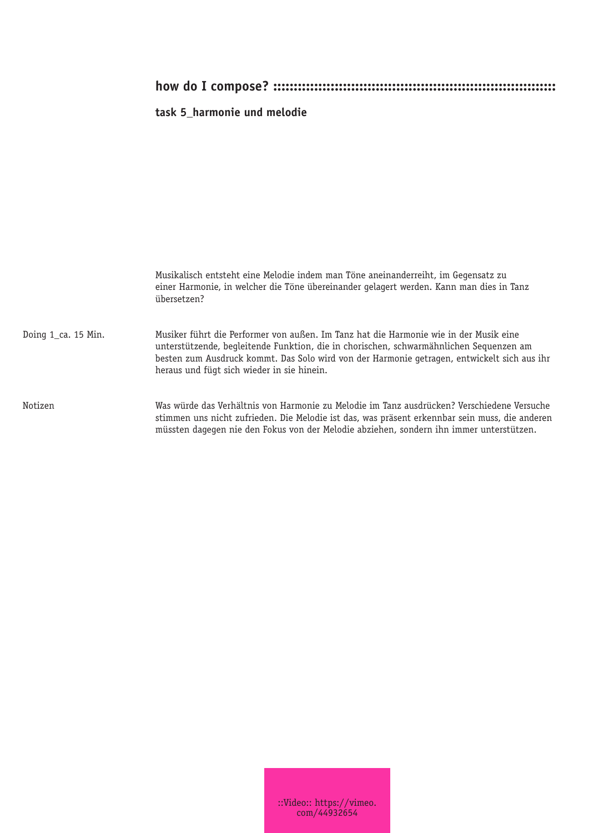## **task 5\_harmonie und melodie**

|                     | Musikalisch entsteht eine Melodie indem man Töne aneinanderreiht, im Gegensatz zu<br>einer Harmonie, in welcher die Töne übereinander gelagert werden. Kann man dies in Tanz<br>übersetzen?                                                                                                                                  |
|---------------------|------------------------------------------------------------------------------------------------------------------------------------------------------------------------------------------------------------------------------------------------------------------------------------------------------------------------------|
| Doing 1_ca. 15 Min. | Musiker führt die Performer von außen. Im Tanz hat die Harmonie wie in der Musik eine<br>unterstützende, begleitende Funktion, die in chorischen, schwarmähnlichen Seguenzen am<br>besten zum Ausdruck kommt. Das Solo wird von der Harmonie getragen, entwickelt sich aus ihr<br>heraus und fügt sich wieder in sie hinein. |
| Notizen             | Was würde das Verhältnis von Harmonie zu Melodie im Tanz ausdrücken? Verschiedene Versuche<br>stimmen uns nicht zufrieden. Die Melodie ist das, was präsent erkennbar sein muss, die anderen<br>müssten dagegen nie den Fokus von der Melodie abziehen, sondern ihn immer unterstützen.                                      |

::Video:: https://vimeo. com/44932654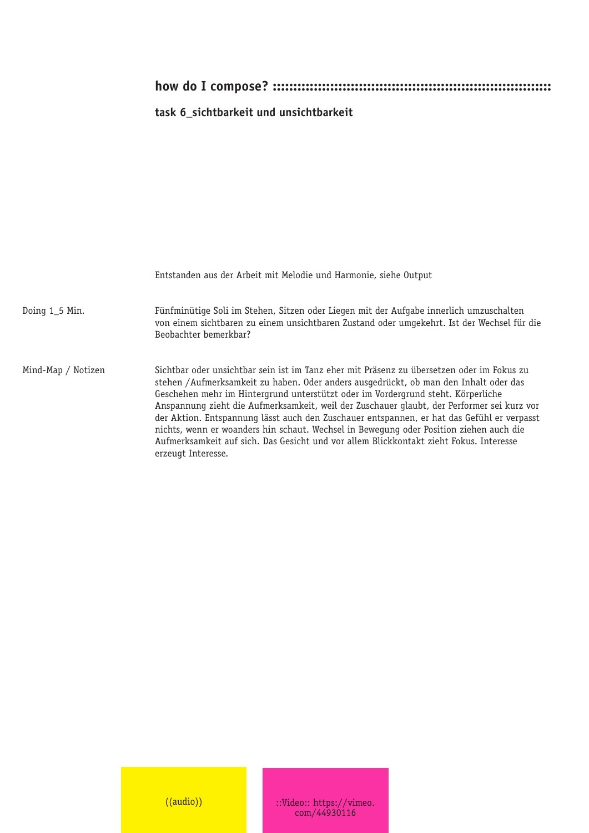## **task 6\_sichtbarkeit und unsichtbarkeit**

|                    | Entstanden aus der Arbeit mit Melodie und Harmonie, siehe Output                                                                                                                                                                                                                                                                                                                                                                                                                                                                                                                                                                                                            |
|--------------------|-----------------------------------------------------------------------------------------------------------------------------------------------------------------------------------------------------------------------------------------------------------------------------------------------------------------------------------------------------------------------------------------------------------------------------------------------------------------------------------------------------------------------------------------------------------------------------------------------------------------------------------------------------------------------------|
| Doing $1_5$ Min.   | Fünfminütige Soli im Stehen, Sitzen oder Liegen mit der Aufgabe innerlich umzuschalten<br>von einem sichtbaren zu einem unsichtbaren Zustand oder umgekehrt. Ist der Wechsel für die<br>Beobachter bemerkbar?                                                                                                                                                                                                                                                                                                                                                                                                                                                               |
| Mind-Map / Notizen | Sichtbar oder unsichtbar sein ist im Tanz eher mit Präsenz zu übersetzen oder im Fokus zu<br>stehen /Aufmerksamkeit zu haben. Oder anders ausgedrückt, ob man den Inhalt oder das<br>Geschehen mehr im Hintergrund unterstützt oder im Vordergrund steht. Körperliche<br>Anspannung zieht die Aufmerksamkeit, weil der Zuschauer glaubt, der Performer sei kurz vor<br>der Aktion. Entspannung lässt auch den Zuschauer entspannen, er hat das Gefühl er verpasst<br>nichts, wenn er woanders hin schaut. Wechsel in Bewegung oder Position ziehen auch die<br>Aufmerksamkeit auf sich. Das Gesicht und vor allem Blickkontakt zieht Fokus. Interesse<br>erzeugt Interesse. |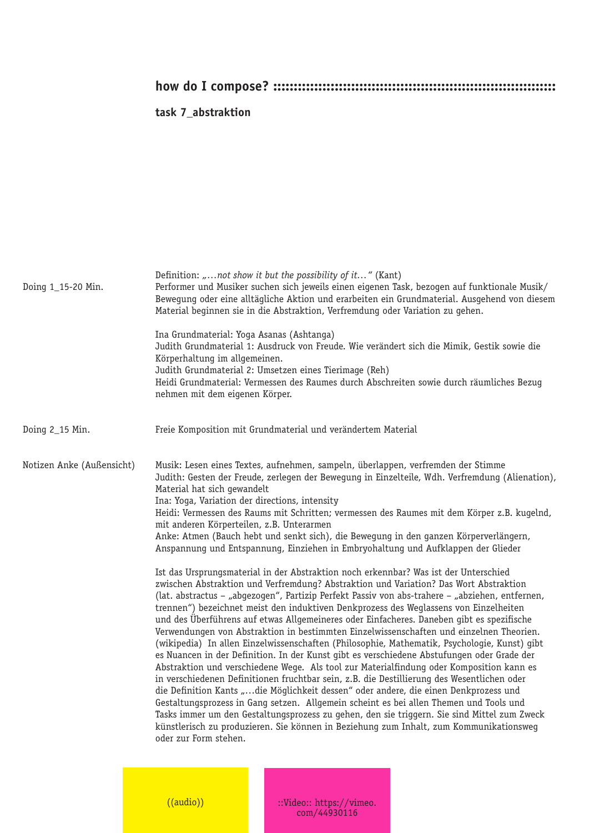### **task 7\_abstraktion**

| Doing 1_15-20 Min.        | Definition: "not show it but the possibility of it" (Kant)<br>Performer und Musiker suchen sich jeweils einen eigenen Task, bezogen auf funktionale Musik/<br>Bewegung oder eine alltägliche Aktion und erarbeiten ein Grundmaterial. Ausgehend von diesem<br>Material beginnen sie in die Abstraktion, Verfremdung oder Variation zu gehen.<br>Ina Grundmaterial: Yoga Asanas (Ashtanga)<br>Judith Grundmaterial 1: Ausdruck von Freude. Wie verändert sich die Mimik, Gestik sowie die<br>Körperhaltung im allgemeinen.<br>Judith Grundmaterial 2: Umsetzen eines Tierimage (Reh)<br>Heidi Grundmaterial: Vermessen des Raumes durch Abschreiten sowie durch räumliches Bezug<br>nehmen mit dem eigenen Körper.                                                                                                                                                                                                                                                                                                                                                                                                                                                                                                                                                                                                                                                                                                                                                                                                                                                                                                                                                                                                                                                                                                                                                                                                                                               |
|---------------------------|-----------------------------------------------------------------------------------------------------------------------------------------------------------------------------------------------------------------------------------------------------------------------------------------------------------------------------------------------------------------------------------------------------------------------------------------------------------------------------------------------------------------------------------------------------------------------------------------------------------------------------------------------------------------------------------------------------------------------------------------------------------------------------------------------------------------------------------------------------------------------------------------------------------------------------------------------------------------------------------------------------------------------------------------------------------------------------------------------------------------------------------------------------------------------------------------------------------------------------------------------------------------------------------------------------------------------------------------------------------------------------------------------------------------------------------------------------------------------------------------------------------------------------------------------------------------------------------------------------------------------------------------------------------------------------------------------------------------------------------------------------------------------------------------------------------------------------------------------------------------------------------------------------------------------------------------------------------------|
| Doing 2_15 Min.           | Freie Komposition mit Grundmaterial und verändertem Material                                                                                                                                                                                                                                                                                                                                                                                                                                                                                                                                                                                                                                                                                                                                                                                                                                                                                                                                                                                                                                                                                                                                                                                                                                                                                                                                                                                                                                                                                                                                                                                                                                                                                                                                                                                                                                                                                                    |
| Notizen Anke (Außensicht) | Musik: Lesen eines Textes, aufnehmen, sampeln, überlappen, verfremden der Stimme<br>Judith: Gesten der Freude, zerlegen der Bewegung in Einzelteile, Wdh. Verfremdung (Alienation),<br>Material hat sich gewandelt<br>Ina: Yoga, Variation der directions, intensity<br>Heidi: Vermessen des Raums mit Schritten; vermessen des Raumes mit dem Körper z.B. kugelnd,<br>mit anderen Körperteilen, z.B. Unterarmen<br>Anke: Atmen (Bauch hebt und senkt sich), die Bewegung in den ganzen Körperverlängern,<br>Anspannung und Entspannung, Einziehen in Embryohaltung und Aufklappen der Glieder<br>Ist das Ursprungsmaterial in der Abstraktion noch erkennbar? Was ist der Unterschied<br>zwischen Abstraktion und Verfremdung? Abstraktion und Variation? Das Wort Abstraktion<br>(lat. abstractus - "abgezogen", Partizip Perfekt Passiv von abs-trahere - "abziehen, entfernen,<br>trennen") bezeichnet meist den induktiven Denkprozess des Weglassens von Einzelheiten<br>und des Überführens auf etwas Allgemeineres oder Einfacheres. Daneben gibt es spezifische<br>Verwendungen von Abstraktion in bestimmten Einzelwissenschaften und einzelnen Theorien.<br>(wikipedia) In allen Einzelwissenschaften (Philosophie, Mathematik, Psychologie, Kunst) gibt<br>es Nuancen in der Definition. In der Kunst gibt es verschiedene Abstufungen oder Grade der<br>Abstraktion und verschiedene Wege. Als tool zur Materialfindung oder Komposition kann es<br>in verschiedenen Definitionen fruchtbar sein, z.B. die Destillierung des Wesentlichen oder<br>die Definition Kants "die Möglichkeit dessen" oder andere, die einen Denkprozess und<br>Gestaltungsprozess in Gang setzen. Allgemein scheint es bei allen Themen und Tools und<br>Tasks immer um den Gestaltungsprozess zu gehen, den sie triggern. Sie sind Mittel zum Zweck<br>künstlerisch zu produzieren. Sie können in Beziehung zum Inhalt, zum Kommunikationsweg<br>oder zur Form stehen. |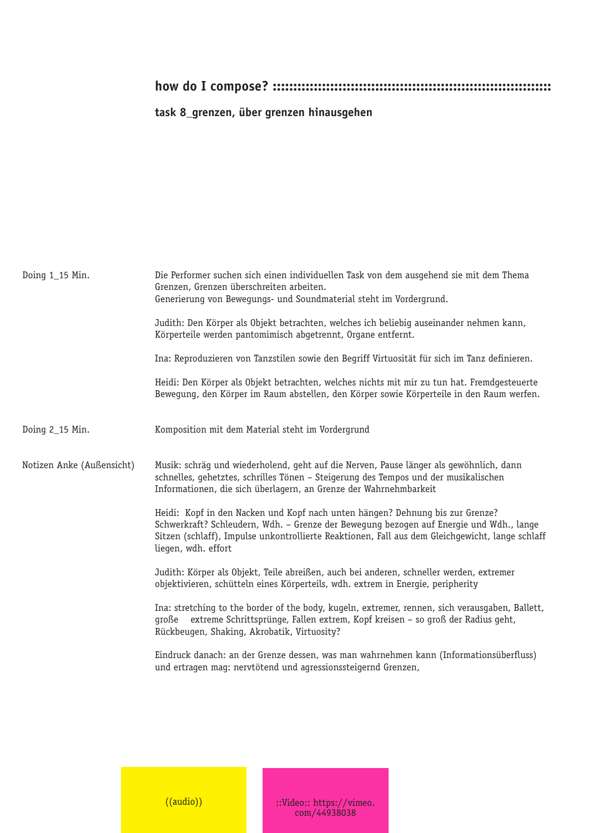## **task 8\_grenzen, über grenzen hinausgehen**

| Doing 1_15 Min.           | Die Performer suchen sich einen individuellen Task von dem ausgehend sie mit dem Thema<br>Grenzen, Grenzen überschreiten arbeiten.<br>Generierung von Bewegungs- und Soundmaterial steht im Vordergrund.<br>Judith: Den Körper als Objekt betrachten, welches ich beliebig auseinander nehmen kann,<br>Körperteile werden pantomimisch abgetrennt, Organe entfernt.<br>Ina: Reproduzieren von Tanzstilen sowie den Begriff Virtuosität für sich im Tanz definieren.<br>Heidi: Den Körper als Objekt betrachten, welches nichts mit mir zu tun hat. Fremdgesteuerte<br>Bewegung, den Körper im Raum abstellen, den Körper sowie Körperteile in den Raum werfen.                                                                                                                                                                                                                                                                                                                                                                                                                                                                                 |
|---------------------------|------------------------------------------------------------------------------------------------------------------------------------------------------------------------------------------------------------------------------------------------------------------------------------------------------------------------------------------------------------------------------------------------------------------------------------------------------------------------------------------------------------------------------------------------------------------------------------------------------------------------------------------------------------------------------------------------------------------------------------------------------------------------------------------------------------------------------------------------------------------------------------------------------------------------------------------------------------------------------------------------------------------------------------------------------------------------------------------------------------------------------------------------|
| Doing 2_15 Min.           | Komposition mit dem Material steht im Vordergrund                                                                                                                                                                                                                                                                                                                                                                                                                                                                                                                                                                                                                                                                                                                                                                                                                                                                                                                                                                                                                                                                                              |
| Notizen Anke (Außensicht) | Musik: schräq und wiederholend, geht auf die Nerven, Pause länger als gewöhnlich, dann<br>schnelles, gehetztes, schrilles Tönen - Steigerung des Tempos und der musikalischen<br>Informationen, die sich überlagern, an Grenze der Wahrnehmbarkeit<br>Heidi: Kopf in den Nacken und Kopf nach unten hängen? Dehnung bis zur Grenze?<br>Schwerkraft? Schleudern, Wdh. - Grenze der Bewegung bezogen auf Energie und Wdh., lange<br>Sitzen (schlaff), Impulse unkontrollierte Reaktionen, Fall aus dem Gleichgewicht, lange schlaff<br>liegen, wdh. effort<br>Judith: Körper als Objekt, Teile abreißen, auch bei anderen, schneller werden, extremer<br>objektivieren, schütteln eines Körperteils, wdh. extrem in Energie, peripherity<br>Ina: stretching to the border of the body, kugeln, extremer, rennen, sich verausgaben, Ballett,<br>extreme Schrittsprünge, Fallen extrem, Kopf kreisen - so groß der Radius geht,<br>große<br>Rückbeugen, Shaking, Akrobatik, Virtuosity?<br>Eindruck danach: an der Grenze dessen, was man wahrnehmen kann (Informationsüberfluss)<br>und ertragen mag: nervtötend und agressionssteigernd Grenzen, |
|                           |                                                                                                                                                                                                                                                                                                                                                                                                                                                                                                                                                                                                                                                                                                                                                                                                                                                                                                                                                                                                                                                                                                                                                |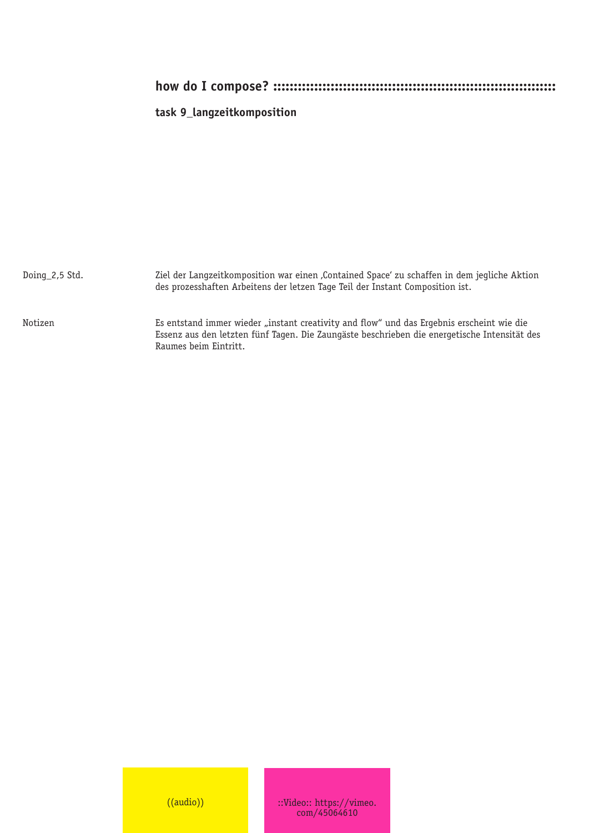#### **task 9\_langzeitkomposition**

Ziel der Langzeitkomposition war einen , Contained Space' zu schaffen in dem jegliche Aktion des prozesshaften Arbeitens der letzen Tage Teil der Instant Composition ist. Es entstand immer wieder "instant creativity and flow" und das Ergebnis erscheint wie die Essenz aus den letzten fünf Tagen. Die Zaungäste beschrieben die energetische Intensität des Raumes beim Eintritt. Doing\_2,5 Std. Notizen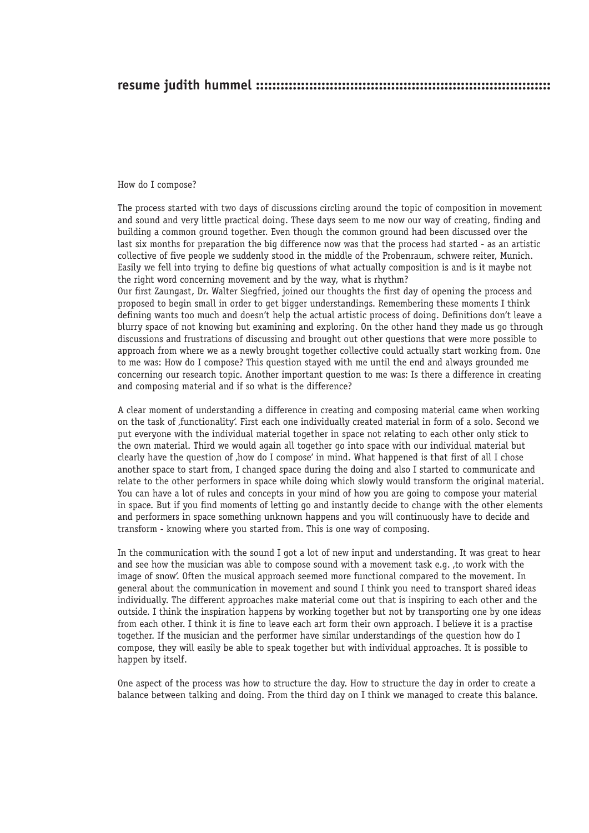#### **resume judith hummel ::::::::::::::::::::::::::::::::::::::::::::::::::::::::::::::::::::::::**

#### How do I compose?

The process started with two days of discussions circling around the topic of composition in movement and sound and very little practical doing. These days seem to me now our way of creating, finding and building a common ground together. Even though the common ground had been discussed over the last six months for preparation the big difference now was that the process had started - as an artistic collective of five people we suddenly stood in the middle of the Probenraum, schwere reiter, Munich. Easily we fell into trying to define big questions of what actually composition is and is it maybe not the right word concerning movement and by the way, what is rhythm?

Our first Zaungast, Dr. Walter Siegfried, joined our thoughts the first day of opening the process and proposed to begin small in order to get bigger understandings. Remembering these moments I think defining wants too much and doesn't help the actual artistic process of doing. Definitions don't leave a blurry space of not knowing but examining and exploring. On the other hand they made us go through discussions and frustrations of discussing and brought out other questions that were more possible to approach from where we as a newly brought together collective could actually start working from. One to me was: How do I compose? This question stayed with me until the end and always grounded me concerning our research topic. Another important question to me was: Is there a difference in creating and composing material and if so what is the difference?

A clear moment of understanding a difference in creating and composing material came when working on the task of 'functionality'. First each one individually created material in form of a solo. Second we put everyone with the individual material together in space not relating to each other only stick to the own material. Third we would again all together go into space with our individual material but clearly have the question of , how do I compose' in mind. What happened is that first of all I chose another space to start from, I changed space during the doing and also I started to communicate and relate to the other performers in space while doing which slowly would transform the original material. You can have a lot of rules and concepts in your mind of how you are going to compose your material in space. But if you find moments of letting go and instantly decide to change with the other elements and performers in space something unknown happens and you will continuously have to decide and transform - knowing where you started from. This is one way of composing.

In the communication with the sound I got a lot of new input and understanding. It was great to hear and see how the musician was able to compose sound with a movement task e.g. 'to work with the image of snow'. Often the musical approach seemed more functional compared to the movement. In general about the communication in movement and sound I think you need to transport shared ideas individually. The different approaches make material come out that is inspiring to each other and the outside. I think the inspiration happens by working together but not by transporting one by one ideas from each other. I think it is fine to leave each art form their own approach. I believe it is a practise together. If the musician and the performer have similar understandings of the question how do I compose, they will easily be able to speak together but with individual approaches. It is possible to happen by itself.

One aspect of the process was how to structure the day. How to structure the day in order to create a balance between talking and doing. From the third day on I think we managed to create this balance.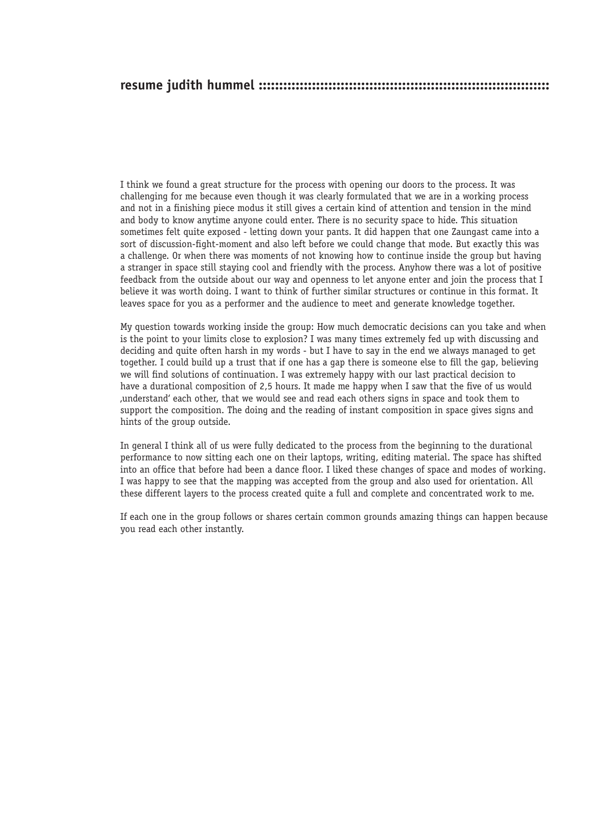I think we found a great structure for the process with opening our doors to the process. It was challenging for me because even though it was clearly formulated that we are in a working process and not in a finishing piece modus it still gives a certain kind of attention and tension in the mind and body to know anytime anyone could enter. There is no security space to hide. This situation sometimes felt quite exposed - letting down your pants. It did happen that one Zaungast came into a sort of discussion-fight-moment and also left before we could change that mode. But exactly this was a challenge. Or when there was moments of not knowing how to continue inside the group but having a stranger in space still staying cool and friendly with the process. Anyhow there was a lot of positive feedback from the outside about our way and openness to let anyone enter and join the process that I believe it was worth doing. I want to think of further similar structures or continue in this format. It leaves space for you as a performer and the audience to meet and generate knowledge together.

My question towards working inside the group: How much democratic decisions can you take and when is the point to your limits close to explosion? I was many times extremely fed up with discussing and deciding and quite often harsh in my words - but I have to say in the end we always managed to get together. I could build up a trust that if one has a gap there is someone else to fill the gap, believing we will find solutions of continuation. I was extremely happy with our last practical decision to have a durational composition of 2,5 hours. It made me happy when I saw that the five of us would 'understand' each other, that we would see and read each others signs in space and took them to support the composition. The doing and the reading of instant composition in space gives signs and hints of the group outside.

In general I think all of us were fully dedicated to the process from the beginning to the durational performance to now sitting each one on their laptops, writing, editing material. The space has shifted into an office that before had been a dance floor. I liked these changes of space and modes of working. I was happy to see that the mapping was accepted from the group and also used for orientation. All these different layers to the process created quite a full and complete and concentrated work to me.

If each one in the group follows or shares certain common grounds amazing things can happen because you read each other instantly.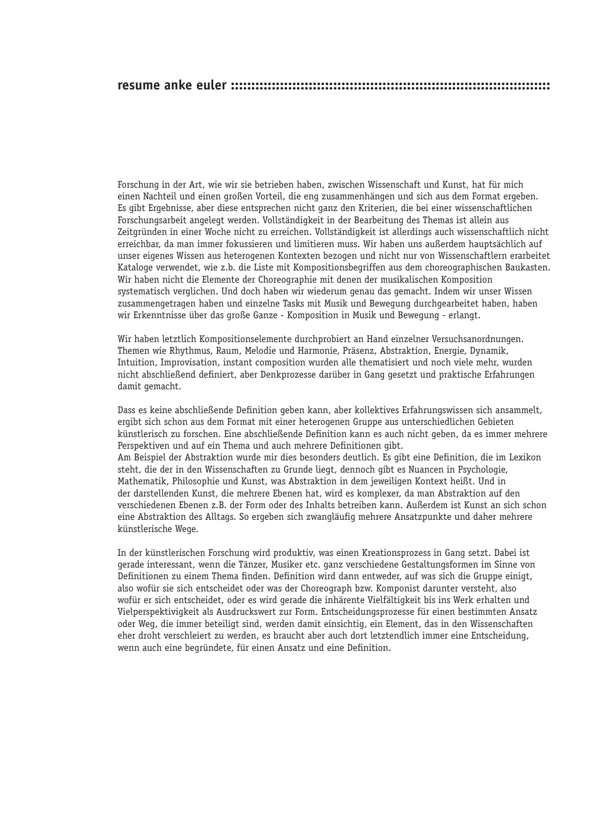Forschung in der Art, wie wir sie betrieben haben, zwischen Wissenschaft und Kunst, hat für mich einen Nachteil und einen großen Vorteil, die eng zusammenhängen und sich aus dem Format ergeben. Es gibt Ergebnisse, aber diese entsprechen nicht ganz den Kriterien, die bei einer wissenschaftlichen Forschungsarbeit angelegt werden. Vollständigkeit in der Bearbeitung des Themas ist allein aus Zeitgründen in einer Woche nicht zu erreichen. Vollständigkeit ist allerdings auch wissenschaftlich nicht erreichbar, da man immer fokussieren und limitieren muss. Wir haben uns außerdem hauptsächlich auf unser eigenes Wissen aus heterogenen Kontexten bezogen und nicht nur von Wissenschaftlern erarbeitet Kataloge verwendet, wie z.b. die Liste mit Kompositionsbegriffen aus dem choreographischen Baukasten. Wir haben nicht die Elemente der Choreographie mit denen der musikalischen Komposition systematisch verglichen. Und doch haben wir wiederum genau das gemacht. Indem wir unser Wissen zusammengetragen haben und einzelne Tasks mit Musik und Bewegung durchgearbeitet haben, haben wir Erkenntnisse über das große Ganze - Komposition in Musik und Bewegung - erlangt.

Wir haben letztlich Kompositionselemente durchprobiert an Hand einzelner Versuchsanordnungen. Themen wie Rhythmus, Raum, Melodie und Harmonie, Präsenz, Abstraktion, Energie, Dynamik, Intuition, Improvisation, instant composition wurden alle thematisiert und noch viele mehr, wurden nicht abschließend definiert, aber Denkprozesse darüber in Gang gesetzt und praktische Erfahrungen damit gemacht.

Dass es keine abschließende Definition geben kann, aber kollektives Erfahrungswissen sich ansammelt, ergibt sich schon aus dem Format mit einer heterogenen Gruppe aus unterschiedlichen Gebieten künstlerisch zu forschen. Eine abschließende Definition kann es auch nicht geben, da es immer mehrere Perspektiven und auf ein Thema und auch mehrere Definitionen gibt. Am Beispiel der Abstraktion wurde mir dies besonders deutlich. Es gibt eine Definition, die im Lexikon steht, die der in den Wissenschaften zu Grunde liegt, dennoch gibt es Nuancen in Psychologie, Mathematik, Philosophie und Kunst, was Abstraktion in dem jeweiligen Kontext heißt. Und in der darstellenden Kunst, die mehrere Ebenen hat, wird es komplexer, da man Abstraktion auf den verschiedenen Ebenen z.B. der Form oder des Inhalts betreiben kann. Außerdem ist Kunst an sich schon eine Abstraktion des Alltags. So ergeben sich zwangläufig mehrere Ansatzpunkte und daher mehrere künstlerische Wege.

In der künstlerischen Forschung wird produktiv, was einen Kreationsprozess in Gang setzt. Dabei ist gerade interessant, wenn die Tänzer, Musiker etc. ganz verschiedene Gestaltungsformen im Sinne von Definitionen zu einem Thema finden. Definition wird dann entweder, auf was sich die Gruppe einigt, also wofür sie sich entscheidet oder was der Choreograph bzw. Komponist darunter versteht, also wofür er sich entscheidet, oder es wird gerade die inhärente Vielfältigkeit bis ins Werk erhalten und Vielperspektivigkeit als Ausdruckswert zur Form. Entscheidungsprozesse für einen bestimmten Ansatz oder Weg, die immer beteiligt sind, werden damit einsichtig, ein Element, das in den Wissenschaften eher droht verschleiert zu werden, es braucht aber auch dort letztendlich immer eine Entscheidung, wenn auch eine begründete, für einen Ansatz und eine Definition.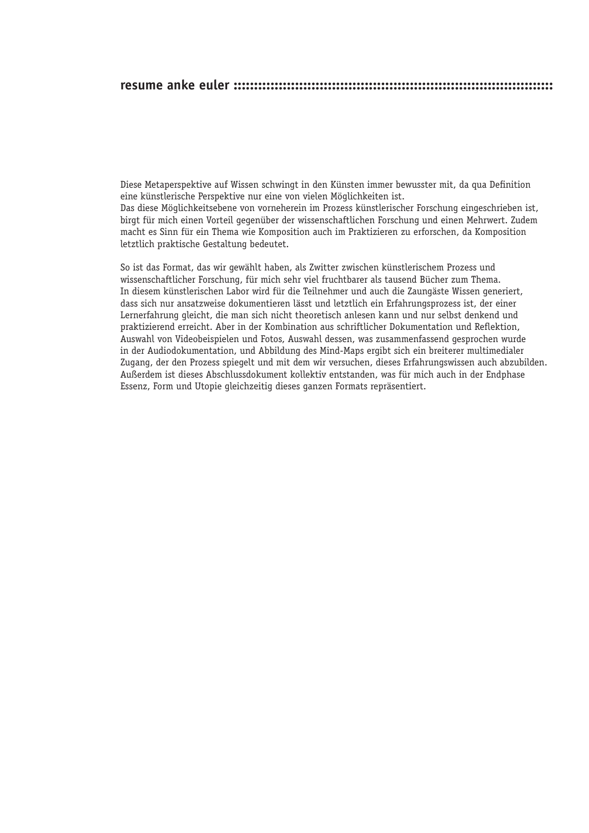Diese Metaperspektive auf Wissen schwingt in den Künsten immer bewusster mit, da qua Definition eine künstlerische Perspektive nur eine von vielen Möglichkeiten ist. Das diese Möglichkeitsebene von vorneherein im Prozess künstlerischer Forschung eingeschrieben ist, birgt für mich einen Vorteil gegenüber der wissenschaftlichen Forschung und einen Mehrwert. Zudem macht es Sinn für ein Thema wie Komposition auch im Praktizieren zu erforschen, da Komposition letztlich praktische Gestaltung bedeutet.

So ist das Format, das wir gewählt haben, als Zwitter zwischen künstlerischem Prozess und wissenschaftlicher Forschung, für mich sehr viel fruchtbarer als tausend Bücher zum Thema. In diesem künstlerischen Labor wird für die Teilnehmer und auch die Zaungäste Wissen generiert. dass sich nur ansatzweise dokumentieren lässt und letztlich ein Erfahrungsprozess ist, der einer Lernerfahrung gleicht, die man sich nicht theoretisch anlesen kann und nur selbst denkend und praktizierend erreicht. Aber in der Kombination aus schriftlicher Dokumentation und Reflektion. Auswahl von Videobeispielen und Fotos, Auswahl dessen, was zusammenfassend gesprochen wurde in der Audiodokumentation, und Abbildung des Mind-Maps ergibt sich ein breiterer multimedialer Zugang, der den Prozess spiegelt und mit dem wir versuchen, dieses Erfahrungswissen auch abzubilden. Außerdem ist dieses Abschlussdokument kollektiv entstanden, was für mich auch in der Endphase Essenz, Form und Utopie gleichzeitig dieses ganzen Formats repräsentiert.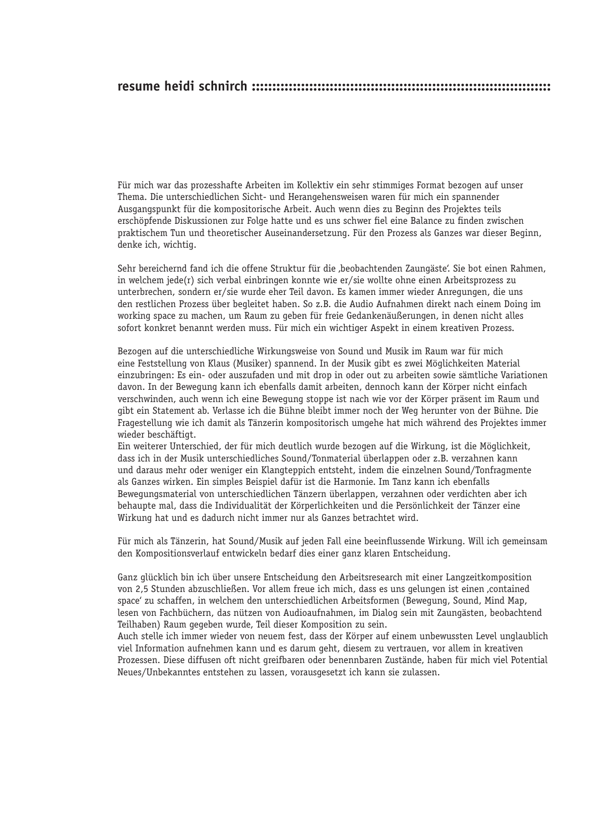## **resume heidi schnirch :::::::::::::::::::::::::::::::::::::::::::::::::::::::::::::::::::::::::**

Für mich war das prozesshafte Arbeiten im Kollektiv ein sehr stimmiges Format bezogen auf unser Thema. Die unterschiedlichen Sicht- und Herangehensweisen waren für mich ein spannender Ausgangspunkt für die kompositorische Arbeit. Auch wenn dies zu Beginn des Projektes teils erschöpfende Diskussionen zur Folge hatte und es uns schwer fiel eine Balance zu finden zwischen praktischem Tun und theoretischer Auseinandersetzung. Für den Prozess als Ganzes war dieser Beginn, denke ich, wichtig.

Sehr bereichernd fand ich die offene Struktur für die 'beobachtenden Zaungäste'. Sie bot einen Rahmen, in welchem jede(r) sich verbal einbringen konnte wie er/sie wollte ohne einen Arbeitsprozess zu unterbrechen, sondern er/sie wurde eher Teil davon. Es kamen immer wieder Anregungen, die uns den restlichen Prozess über begleitet haben. So z.B. die Audio Aufnahmen direkt nach einem Doing im working space zu machen, um Raum zu geben für freie Gedankenäußerungen, in denen nicht alles sofort konkret benannt werden muss. Für mich ein wichtiger Aspekt in einem kreativen Prozess.

Bezogen auf die unterschiedliche Wirkungsweise von Sound und Musik im Raum war für mich eine Feststellung von Klaus (Musiker) spannend. In der Musik gibt es zwei Möglichkeiten Material einzubringen: Es ein- oder auszufaden und mit drop in oder out zu arbeiten sowie sämtliche Variationen davon. In der Bewegung kann ich ebenfalls damit arbeiten, dennoch kann der Körper nicht einfach verschwinden, auch wenn ich eine Bewegung stoppe ist nach wie vor der Körper präsent im Raum und gibt ein Statement ab. Verlasse ich die Bühne bleibt immer noch der Weg herunter von der Bühne. Die Fragestellung wie ich damit als Tänzerin kompositorisch umgehe hat mich während des Projektes immer wieder beschäftigt.

Ein weiterer Unterschied, der für mich deutlich wurde bezogen auf die Wirkung, ist die Möglichkeit, dass ich in der Musik unterschiedliches Sound/Tonmaterial überlappen oder z.B. verzahnen kann und daraus mehr oder weniger ein Klangteppich entsteht, indem die einzelnen Sound/Tonfragmente als Ganzes wirken. Ein simples Beispiel dafür ist die Harmonie. Im Tanz kann ich ebenfalls Bewegungsmaterial von unterschiedlichen Tänzern überlappen, verzahnen oder verdichten aber ich behaupte mal, dass die Individualität der Körperlichkeiten und die Persönlichkeit der Tänzer eine Wirkung hat und es dadurch nicht immer nur als Ganzes betrachtet wird.

Für mich als Tänzerin, hat Sound/Musik auf jeden Fall eine beeinflussende Wirkung. Will ich gemeinsam den Kompositionsverlauf entwickeln bedarf dies einer ganz klaren Entscheidung.

Ganz glücklich bin ich über unsere Entscheidung den Arbeitsresearch mit einer Langzeitkomposition von 2,5 Stunden abzuschließen. Vor allem freue ich mich, dass es uns gelungen ist einen 'contained space' zu schaffen, in welchem den unterschiedlichen Arbeitsformen (Bewegung, Sound, Mind Map, lesen von Fachbüchern, das nützen von Audioaufnahmen, im Dialog sein mit Zaungästen, beobachtend Teilhaben) Raum gegeben wurde, Teil dieser Komposition zu sein.

Auch stelle ich immer wieder von neuem fest, dass der Körper auf einem unbewussten Level unglaublich viel Information aufnehmen kann und es darum geht, diesem zu vertrauen, vor allem in kreativen Prozessen. Diese diffusen oft nicht greifbaren oder benennbaren Zustände, haben für mich viel Potential Neues/Unbekanntes entstehen zu lassen, vorausgesetzt ich kann sie zulassen.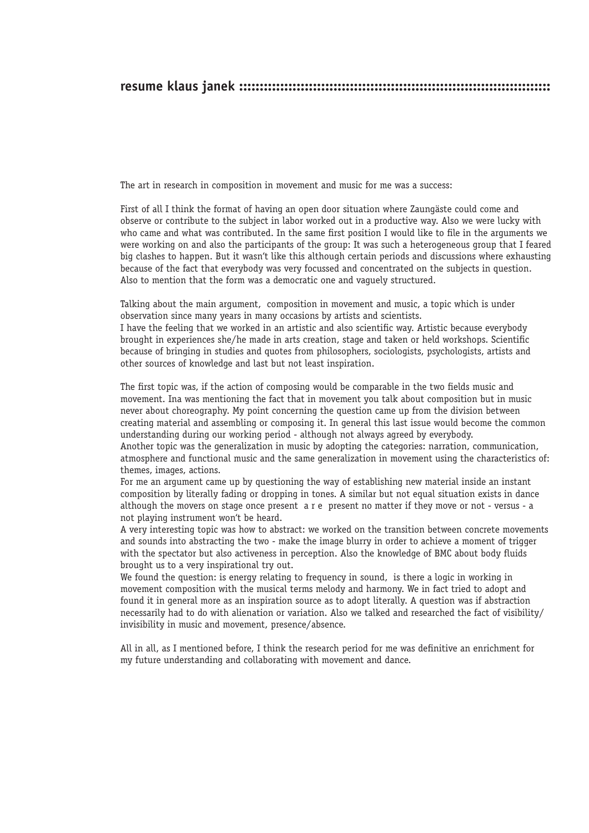#### **resume klaus janek ::::::::::::::::::::::::::::::::::::::::::::::::::::::::::::::::::::::::::::**

The art in research in composition in movement and music for me was a success:

First of all I think the format of having an open door situation where Zaungäste could come and observe or contribute to the subject in labor worked out in a productive way. Also we were lucky with who came and what was contributed. In the same first position I would like to file in the arguments we were working on and also the participants of the group: It was such a heterogeneous group that I feared big clashes to happen. But it wasn't like this although certain periods and discussions where exhausting because of the fact that everybody was very focussed and concentrated on the subjects in question. Also to mention that the form was a democratic one and vaguely structured.

Talking about the main argument, composition in movement and music, a topic which is under observation since many years in many occasions by artists and scientists.

I have the feeling that we worked in an artistic and also scientific way. Artistic because everybody brought in experiences she/he made in arts creation, stage and taken or held workshops. Scientific because of bringing in studies and quotes from philosophers, sociologists, psychologists, artists and other sources of knowledge and last but not least inspiration.

The first topic was, if the action of composing would be comparable in the two fields music and movement. Ina was mentioning the fact that in movement you talk about composition but in music never about choreography. My point concerning the question came up from the division between creating material and assembling or composing it. In general this last issue would become the common understanding during our working period - although not always agreed by everybody.

Another topic was the generalization in music by adopting the categories: narration, communication, atmosphere and functional music and the same generalization in movement using the characteristics of: themes, images, actions.

For me an argument came up by questioning the way of establishing new material inside an instant composition by literally fading or dropping in tones. A similar but not equal situation exists in dance although the movers on stage once present a r e present no matter if they move or not - versus - a not playing instrument won't be heard.

A very interesting topic was how to abstract: we worked on the transition between concrete movements and sounds into abstracting the two - make the image blurry in order to achieve a moment of trigger with the spectator but also activeness in perception. Also the knowledge of BMC about body fluids brought us to a very inspirational try out.

We found the question: is energy relating to frequency in sound, is there a logic in working in movement composition with the musical terms melody and harmony. We in fact tried to adopt and found it in general more as an inspiration source as to adopt literally. A question was if abstraction necessarily had to do with alienation or variation. Also we talked and researched the fact of visibility/ invisibility in music and movement, presence/absence.

All in all, as I mentioned before, I think the research period for me was definitive an enrichment for my future understanding and collaborating with movement and dance.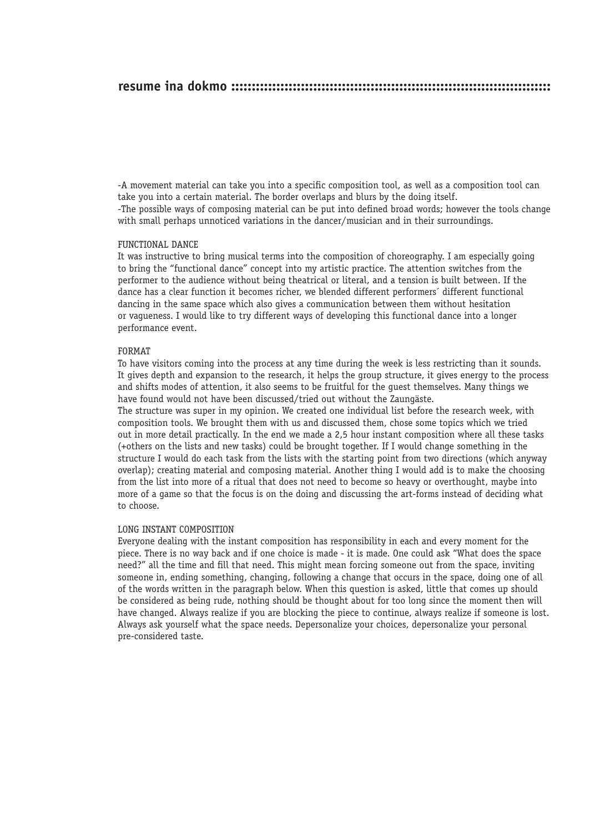## **resume ina dokmo ::::::::::::::::::::::::::::::::::::::::::::::::::::::::::::::::::::::::::::::**

-A movement material can take you into a specific composition tool, as well as a composition tool can take you into a certain material. The border overlaps and blurs by the doing itself. -The possible ways of composing material can be put into defined broad words; however the tools change with small perhaps unnoticed variations in the dancer/musician and in their surroundings.

#### FUNCTIONAL DANCE

It was instructive to bring musical terms into the composition of choreography. I am especially going to bring the "functional dance" concept into my artistic practice. The attention switches from the performer to the audience without being theatrical or literal, and a tension is built between. If the dance has a clear function it becomes richer, we blended different performers´ different functional dancing in the same space which also gives a communication between them without hesitation or vagueness. I would like to try different ways of developing this functional dance into a longer performance event.

#### FORMAT

To have visitors coming into the process at any time during the week is less restricting than it sounds. It gives depth and expansion to the research, it helps the group structure, it gives energy to the process and shifts modes of attention, it also seems to be fruitful for the guest themselves. Many things we have found would not have been discussed/tried out without the Zaungäste.

The structure was super in my opinion. We created one individual list before the research week, with composition tools. We brought them with us and discussed them, chose some topics which we tried out in more detail practically. In the end we made a 2,5 hour instant composition where all these tasks (+others on the lists and new tasks) could be brought together. If I would change something in the structure I would do each task from the lists with the starting point from two directions (which anyway overlap); creating material and composing material. Another thing I would add is to make the choosing from the list into more of a ritual that does not need to become so heavy or overthought, maybe into more of a game so that the focus is on the doing and discussing the art-forms instead of deciding what to choose.

#### LONG INSTANT COMPOSITION

Everyone dealing with the instant composition has responsibility in each and every moment for the piece. There is no way back and if one choice is made - it is made. One could ask "What does the space need?" all the time and fill that need. This might mean forcing someone out from the space, inviting someone in, ending something, changing, following a change that occurs in the space, doing one of all of the words written in the paragraph below. When this question is asked, little that comes up should be considered as being rude, nothing should be thought about for too long since the moment then will have changed. Always realize if you are blocking the piece to continue, always realize if someone is lost. Always ask yourself what the space needs. Depersonalize your choices, depersonalize your personal pre-considered taste.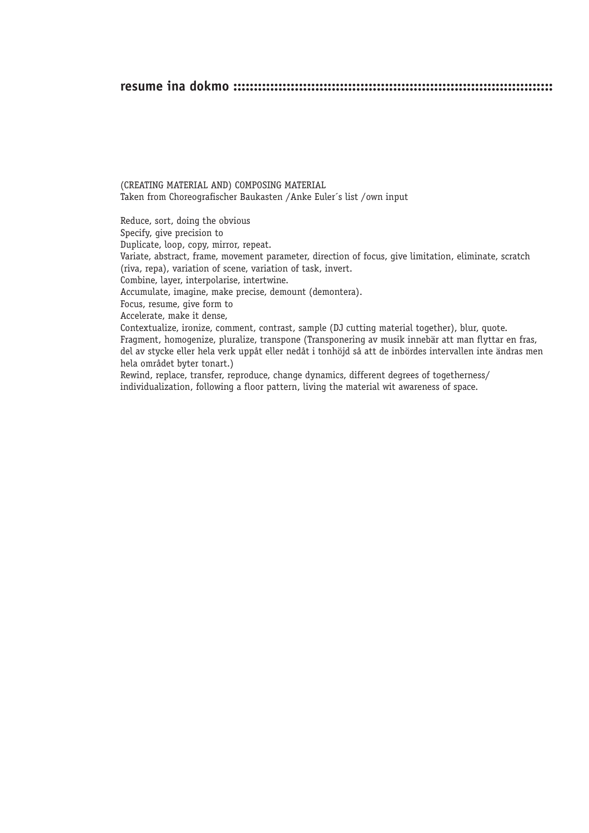### **resume ina dokmo ::::::::::::::::::::::::::::::::::::::::::::::::::::::::::::::::::::::::::::::**

(CREATING MATERIAL AND) COMPOSING MATERIAL Taken from Choreografischer Baukasten /Anke Euler´s list /own input

Reduce, sort, doing the obvious Specify, give precision to Duplicate, loop, copy, mirror, repeat. Variate, abstract, frame, movement parameter, direction of focus, give limitation, eliminate, scratch (riva, repa), variation of scene, variation of task, invert. Combine, layer, interpolarise, intertwine. Accumulate, imagine, make precise, demount (demontera). Focus, resume, give form to Accelerate, make it dense, Contextualize, ironize, comment, contrast, sample (DJ cutting material together), blur, quote. Fragment, homogenize, pluralize, transpone (Transponering av musik innebär att man flyttar en fras, del av stycke eller hela verk uppåt eller nedåt i tonhöjd så att de inbördes intervallen inte ändras men hela området byter tonart.) Rewind, replace, transfer, reproduce, change dynamics, different degrees of togetherness/ individualization, following a floor pattern, living the material wit awareness of space.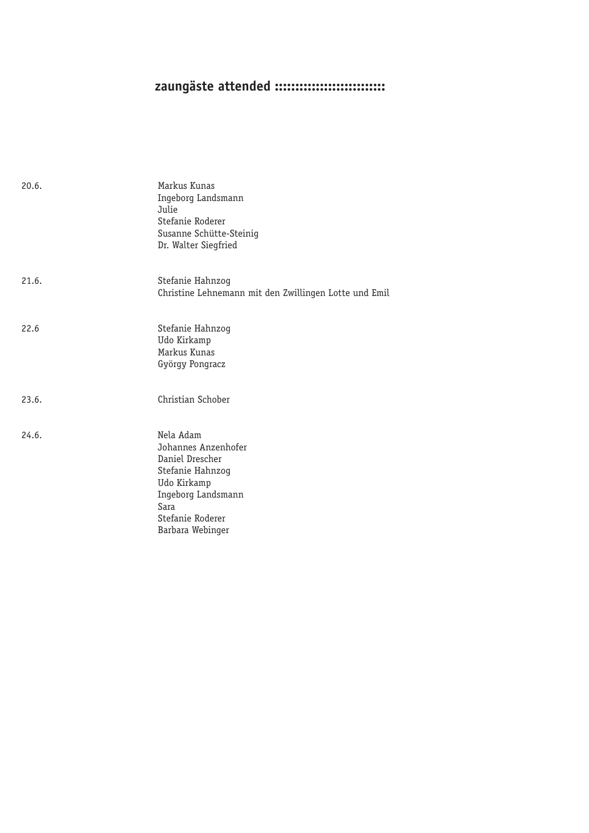# zaungäste attended :::::::::::::::::::::::::::

| 20.6. | Markus Kunas<br>Ingeborg Landsmann<br>Julie<br>Stefanie Roderer<br>Susanne Schütte-Steinig<br>Dr. Walter Siegfried                                           |
|-------|--------------------------------------------------------------------------------------------------------------------------------------------------------------|
| 21.6. | Stefanie Hahnzog<br>Christine Lehnemann mit den Zwillingen Lotte und Emil                                                                                    |
| 22.6  | Stefanie Hahnzog<br>Udo Kirkamp<br>Markus Kunas<br>György Pongracz                                                                                           |
| 23.6. | Christian Schober                                                                                                                                            |
| 24.6. | Nela Adam<br>Johannes Anzenhofer<br>Daniel Drescher<br>Stefanie Hahnzog<br>Udo Kirkamp<br>Ingeborg Landsmann<br>Sara<br>Stefanie Roderer<br>Barbara Webinger |